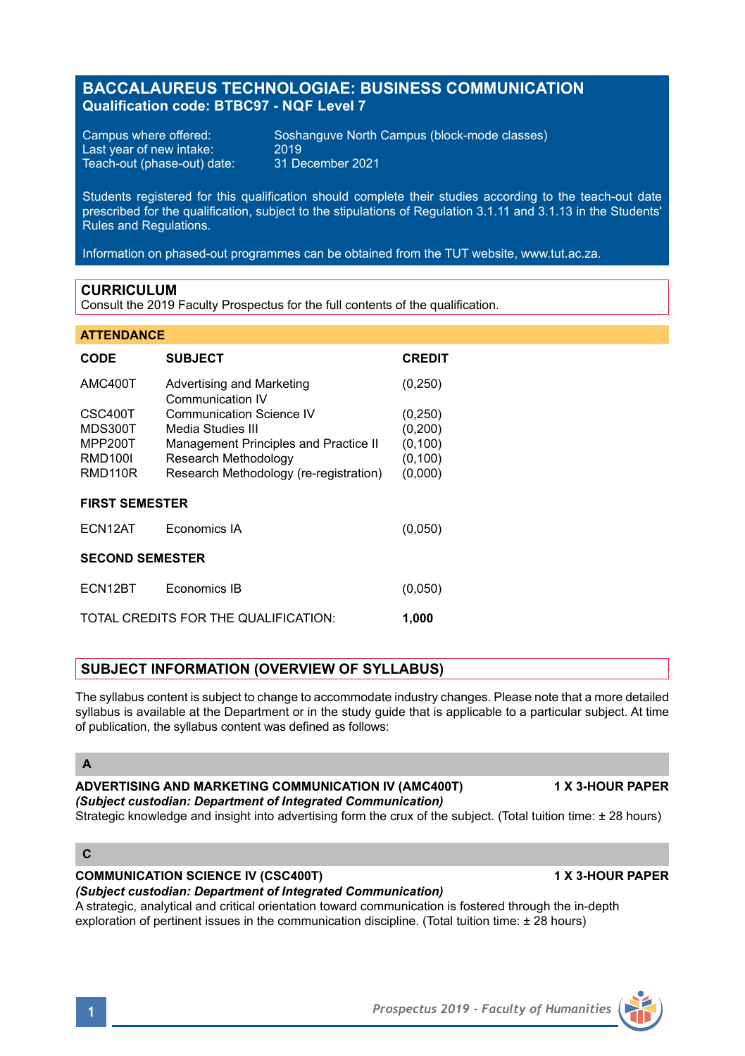# **BACCALAUREUS TECHNOLOGIAE: BUSINESS COMMUNICATION Qualification code: BTBC97 - NQF Level 7**

Last year of new intake:  $2019$ <br>Teach-out (phase-out) date: 31 December 2021 Teach-out (phase-out) date:

Campus where offered: Soshanguve North Campus (block-mode classes)<br>Last year of new intake: 2019

Students registered for this qualification should complete their studies according to the teach-out date prescribed for the qualification, subject to the stipulations of Regulation 3.1.11 and 3.1.13 in the Students' Rules and Regulations.

Information on phased-out programmes can be obtained from the TUT website, www.tut.ac.za.

# **CURRICULUM**

Consult the 2019 Faculty Prospectus for the full contents of the qualification.

### **ATTENDANCE**

| CODE                                          | <b>SUBJECT</b>                                                                         | <b>CREDIT</b>                    |
|-----------------------------------------------|----------------------------------------------------------------------------------------|----------------------------------|
| AMC400T                                       | Advertising and Marketing<br>Communication IV                                          | (0, 250)                         |
| CSC400T<br>MDS300T<br>MPP200T                 | Communication Science IV<br>Media Studies III<br>Management Principles and Practice II | (0, 250)<br>(0, 200)<br>(0, 100) |
| <b>RMD100I</b><br>RMD <sub>110</sub> R        | Research Methodology<br>Research Methodology (re-registration)                         | (0, 100)<br>(0,000)              |
| <b>FIRST SEMESTER</b>                         |                                                                                        |                                  |
| FCN12AT                                       | Fconomics IA                                                                           | (0,050)                          |
| <b>SECOND SEMESTER</b>                        |                                                                                        |                                  |
| ECN12BT                                       | Economics IB                                                                           | (0,050)                          |
| TOTAL CREDITS FOR THE QUALIFICATION:<br>1,000 |                                                                                        |                                  |

# **SUBJECT INFORMATION (OVERVIEW OF SYLLABUS)**

The syllabus content is subject to change to accommodate industry changes. Please note that a more detailed syllabus is available at the Department or in the study guide that is applicable to a particular subject. At time of publication, the syllabus content was defined as follows:

### **A**

**ADVERTISING AND MARKETING COMMUNICATION IV (AMC400T) 1 X 3-HOUR PAPER** *(Subject custodian: Department of Integrated Communication)*

Strategic knowledge and insight into advertising form the crux of the subject. (Total tuition time: ± 28 hours)

# **C**

#### **COMMUNICATION SCIENCE IV (CSC400T) 1 X 3-HOUR PAPER**

*(Subject custodian: Department of Integrated Communication)*

A strategic, analytical and critical orientation toward communication is fostered through the in-depth exploration of pertinent issues in the communication discipline. (Total tuition time: ± 28 hours)